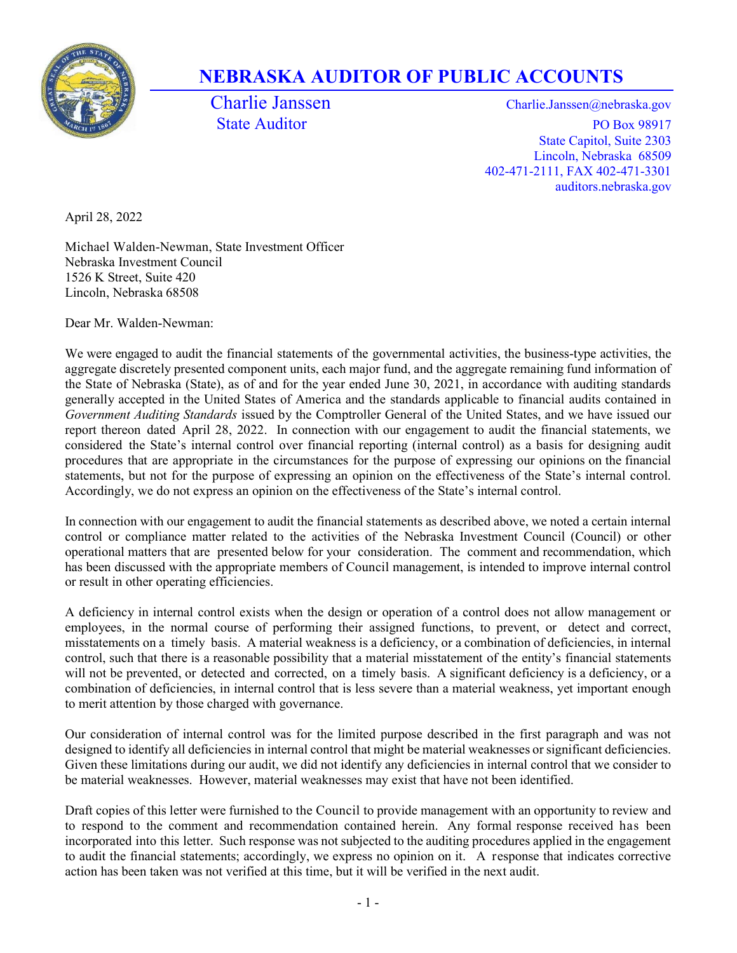

## NEBRASKA AUDITOR OF PUBLIC ACCOUNTS

Charlie Janssen Charlie.Janssen @nebraska.gov State Auditor PO Box 98917 State Capitol, Suite 2303 Lincoln, Nebraska 68509 402-471-2111, FAX 402-471-3301 auditors.nebraska.gov

April 28, 2022

Michael Walden-Newman, State Investment Officer Nebraska Investment Council 1526 K Street, Suite 420 Lincoln, Nebraska 68508

Dear Mr. Walden-Newman:

We were engaged to audit the financial statements of the governmental activities, the business-type activities, the aggregate discretely presented component units, each major fund, and the aggregate remaining fund information of the State of Nebraska (State), as of and for the year ended June 30, 2021, in accordance with auditing standards generally accepted in the United States of America and the standards applicable to financial audits contained in Government Auditing Standards issued by the Comptroller General of the United States, and we have issued our report thereon dated April 28, 2022. In connection with our engagement to audit the financial statements, we considered the State's internal control over financial reporting (internal control) as a basis for designing audit procedures that are appropriate in the circumstances for the purpose of expressing our opinions on the financial statements, but not for the purpose of expressing an opinion on the effectiveness of the State's internal control. Accordingly, we do not express an opinion on the effectiveness of the State's internal control.

In connection with our engagement to audit the financial statements as described above, we noted a certain internal control or compliance matter related to the activities of the Nebraska Investment Council (Council) or other operational matters that are presented below for your consideration. The comment and recommendation, which has been discussed with the appropriate members of Council management, is intended to improve internal control or result in other operating efficiencies.

A deficiency in internal control exists when the design or operation of a control does not allow management or employees, in the normal course of performing their assigned functions, to prevent, or detect and correct, misstatements on a timely basis. A material weakness is a deficiency, or a combination of deficiencies, in internal control, such that there is a reasonable possibility that a material misstatement of the entity's financial statements will not be prevented, or detected and corrected, on a timely basis. A significant deficiency is a deficiency, or a combination of deficiencies, in internal control that is less severe than a material weakness, yet important enough to merit attention by those charged with governance.

Our consideration of internal control was for the limited purpose described in the first paragraph and was not designed to identify all deficiencies in internal control that might be material weaknesses or significant deficiencies. Given these limitations during our audit, we did not identify any deficiencies in internal control that we consider to be material weaknesses. However, material weaknesses may exist that have not been identified.

Draft copies of this letter were furnished to the Council to provide management with an opportunity to review and to respond to the comment and recommendation contained herein. Any formal response received has been incorporated into this letter. Such response was not subjected to the auditing procedures applied in the engagement to audit the financial statements; accordingly, we express no opinion on it. A response that indicates corrective action has been taken was not verified at this time, but it will be verified in the next audit.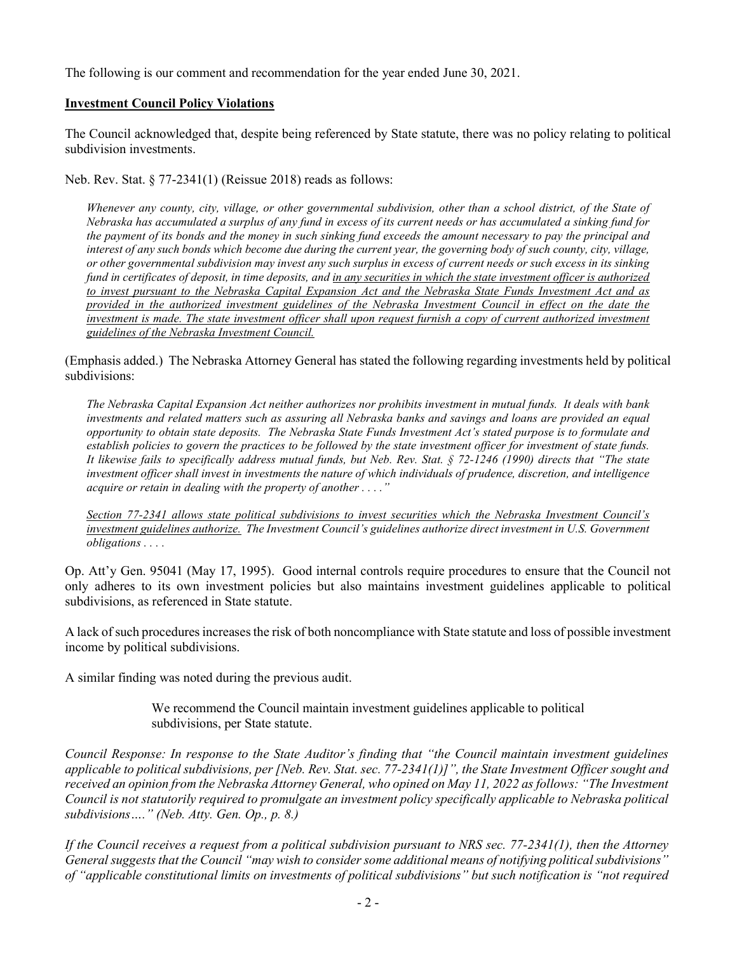The following is our comment and recommendation for the year ended June 30, 2021.

## Investment Council Policy Violations

The Council acknowledged that, despite being referenced by State statute, there was no policy relating to political subdivision investments.

Neb. Rev. Stat. § 77-2341(1) (Reissue 2018) reads as follows:

Whenever any county, city, village, or other governmental subdivision, other than a school district, of the State of Nebraska has accumulated a surplus of any fund in excess of its current needs or has accumulated a sinking fund for the payment of its bonds and the money in such sinking fund exceeds the amount necessary to pay the principal and interest of any such bonds which become due during the current year, the governing body of such county, city, village, or other governmental subdivision may invest any such surplus in excess of current needs or such excess in its sinking fund in certificates of deposit, in time deposits, and in any securities in which the state investment officer is authorized to invest pursuant to the Nebraska Capital Expansion Act and the Nebraska State Funds Investment Act and as provided in the authorized investment guidelines of the Nebraska Investment Council in effect on the date the investment is made. The state investment officer shall upon request furnish a copy of current authorized investment guidelines of the Nebraska Investment Council.

(Emphasis added.) The Nebraska Attorney General has stated the following regarding investments held by political subdivisions:

The Nebraska Capital Expansion Act neither authorizes nor prohibits investment in mutual funds. It deals with bank investments and related matters such as assuring all Nebraska banks and savings and loans are provided an equal opportunity to obtain state deposits. The Nebraska State Funds Investment Act's stated purpose is to formulate and establish policies to govern the practices to be followed by the state investment officer for investment of state funds. It likewise fails to specifically address mutual funds, but Neb. Rev. Stat. § 72-1246 (1990) directs that "The state investment officer shall invest in investments the nature of which individuals of prudence, discretion, and intelligence acquire or retain in dealing with the property of another . . . ."

Section 77-2341 allows state political subdivisions to invest securities which the Nebraska Investment Council's investment guidelines authorize. The Investment Council's guidelines authorize direct investment in U.S. Government obligations . . . .

Op. Att'y Gen. 95041 (May 17, 1995). Good internal controls require procedures to ensure that the Council not only adheres to its own investment policies but also maintains investment guidelines applicable to political subdivisions, as referenced in State statute.

A lack of such procedures increases the risk of both noncompliance with State statute and loss of possible investment income by political subdivisions.

A similar finding was noted during the previous audit.

We recommend the Council maintain investment guidelines applicable to political subdivisions, per State statute.

Council Response: In response to the State Auditor's finding that "the Council maintain investment guidelines applicable to political subdivisions, per [Neb. Rev. Stat. sec. 77-2341(1)]", the State Investment Officer sought and received an opinion from the Nebraska Attorney General, who opined on May 11, 2022 as follows: "The Investment Council is not statutorily required to promulgate an investment policy specifically applicable to Nebraska political subdivisions…." (Neb. Atty. Gen. Op., p. 8.)

If the Council receives a request from a political subdivision pursuant to NRS sec. 77-2341(1), then the Attorney General suggests that the Council "may wish to consider some additional means of notifying political subdivisions" of "applicable constitutional limits on investments of political subdivisions" but such notification is "not required